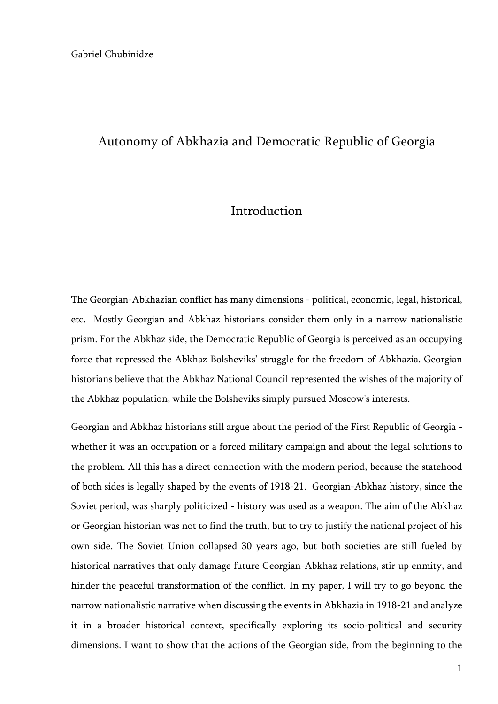#### Autonomy of Abkhazia and Democratic Republic of Georgia

# Introduction

The Georgian-Abkhazian conflict has many dimensions - political, economic, legal, historical, etc. Mostly Georgian and Abkhaz historians consider them only in a narrow nationalistic prism. For the Abkhaz side, the Democratic Republic of Georgia is perceived as an occupying force that repressed the Abkhaz Bolsheviks' struggle for the freedom of Abkhazia. Georgian historians believe that the Abkhaz National Council represented the wishes of the majority of the Abkhaz population, while the Bolsheviks simply pursued Moscow's interests.

Georgian and Abkhaz historians still argue about the period of the First Republic of Georgia whether it was an occupation or a forced military campaign and about the legal solutions to the problem. All this has a direct connection with the modern period, because the statehood of both sides is legally shaped by the events of 1918-21. Georgian-Abkhaz history, since the Soviet period, was sharply politicized - history was used as a weapon. The aim of the Abkhaz or Georgian historian was not to find the truth, but to try to justify the national project of his own side. The Soviet Union collapsed 30 years ago, but both societies are still fueled by historical narratives that only damage future Georgian-Abkhaz relations, stir up enmity, and hinder the peaceful transformation of the conflict. In my paper, I will try to go beyond the narrow nationalistic narrative when discussing the events in Abkhazia in 1918-21 and analyze it in a broader historical context, specifically exploring its socio-political and security dimensions. I want to show that the actions of the Georgian side, from the beginning to the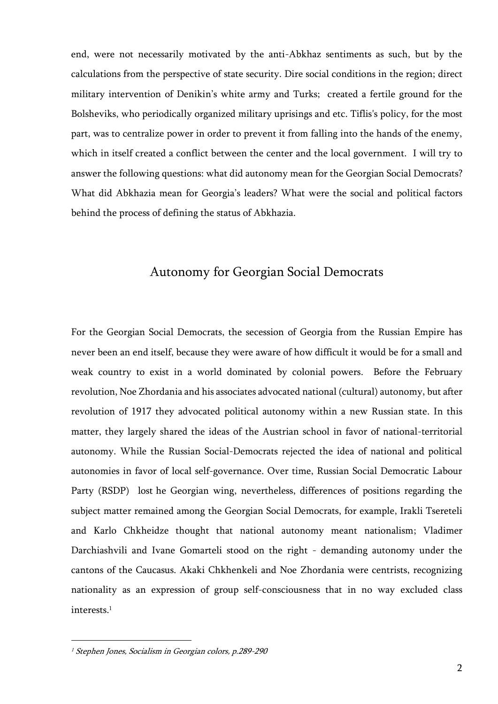end, were not necessarily motivated by the anti-Abkhaz sentiments as such, but by the calculations from the perspective of state security. Dire social conditions in the region; direct military intervention of Denikin's white army and Turks; created a fertile ground for the Bolsheviks, who periodically organized military uprisings and etc. Tiflis's policy, for the most part, was to centralize power in order to prevent it from falling into the hands of the enemy, which in itself created a conflict between the center and the local government. I will try to answer the following questions: what did autonomy mean for the Georgian Social Democrats? What did Abkhazia mean for Georgia's leaders? What were the social and political factors behind the process of defining the status of Abkhazia.

# Autonomy for Georgian Social Democrats

For the Georgian Social Democrats, the secession of Georgia from the Russian Empire has never been an end itself, because they were aware of how difficult it would be for a small and weak country to exist in a world dominated by colonial powers. Before the February revolution, Noe Zhordania and his associates advocated national (cultural) autonomy, but after revolution of 1917 they advocated political autonomy within a new Russian state. In this matter, they largely shared the ideas of the Austrian school in favor of national-territorial autonomy. While the Russian Social-Democrats rejected the idea of national and political autonomies in favor of local self-governance. Over time, Russian Social Democratic Labour Party (RSDP) lost he Georgian wing, nevertheless, differences of positions regarding the subject matter remained among the Georgian Social Democrats, for example, Irakli Tsereteli and Karlo Chkheidze thought that national autonomy meant nationalism; Vladimer Darchiashvili and Ivane Gomarteli stood on the right - demanding autonomy under the cantons of the Caucasus. Akaki Chkhenkeli and Noe Zhordania were centrists, recognizing nationality as an expression of group self-consciousness that in no way excluded class interests. 1

<sup>&</sup>lt;sup>1</sup> Stephen Jones, Socialism in Georgian colors, p.289-290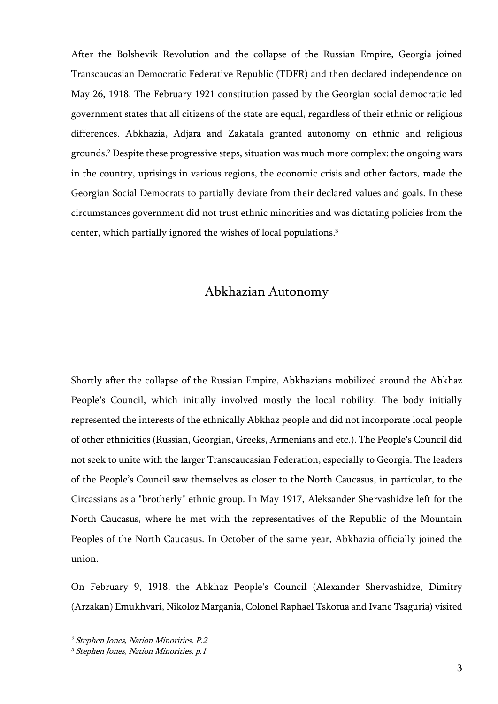After the Bolshevik Revolution and the collapse of the Russian Empire, Georgia joined Transcaucasian Democratic Federative Republic (TDFR) and then declared independence on May 26, 1918. The February 1921 constitution passed by the Georgian social democratic led government states that all citizens of the state are equal, regardless of their ethnic or religious differences. Abkhazia, Adjara and Zakatala granted autonomy on ethnic and religious grounds.<sup>2</sup> Despite these progressive steps, situation was much more complex: the ongoing wars in the country, uprisings in various regions, the economic crisis and other factors, made the Georgian Social Democrats to partially deviate from their declared values and goals. In these circumstances government did not trust ethnic minorities and was dictating policies from the center, which partially ignored the wishes of local populations. 3

# Abkhazian Autonomy

Shortly after the collapse of the Russian Empire, Abkhazians mobilized around the Abkhaz People's Council, which initially involved mostly the local nobility. The body initially represented the interests of the ethnically Abkhaz people and did not incorporate local people of other ethnicities (Russian, Georgian, Greeks, Armenians and etc.). The People's Council did not seek to unite with the larger Transcaucasian Federation, especially to Georgia. The leaders of the People's Council saw themselves as closer to the North Caucasus, in particular, to the Circassians as a "brotherly" ethnic group. In May 1917, Aleksander Shervashidze left for the North Caucasus, where he met with the representatives of the Republic of the Mountain Peoples of the North Caucasus. In October of the same year, Abkhazia officially joined the union.

On February 9, 1918, the Abkhaz People's Council (Alexander Shervashidze, Dimitry (Arzakan) Emukhvari, Nikoloz Margania, Colonel Raphael Tskotua and Ivane Tsaguria) visited

<sup>2</sup> Stephen Jones, Nation Minorities. P.2

<sup>3</sup> Stephen Jones, Nation Minorities, p.1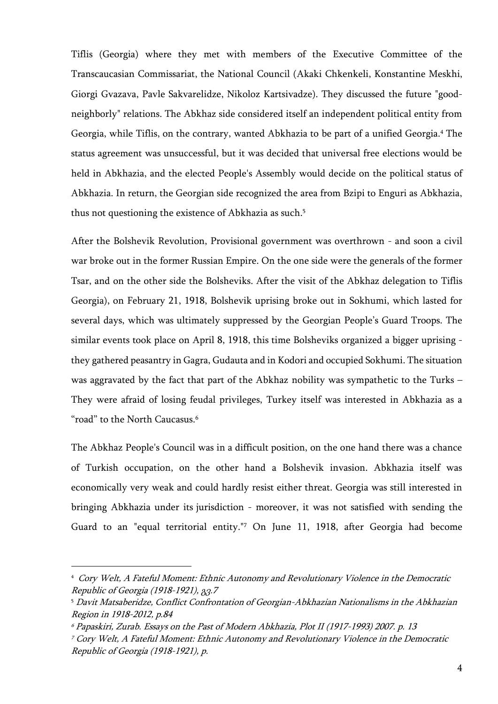Tiflis (Georgia) where they met with members of the Executive Committee of the Transcaucasian Commissariat, the National Council (Akaki Chkenkeli, Konstantine Meskhi, Giorgi Gvazava, Pavle Sakvarelidze, Nikoloz Kartsivadze). They discussed the future "goodneighborly" relations. The Abkhaz side considered itself an independent political entity from Georgia, while Tiflis, on the contrary, wanted Abkhazia to be part of a unified Georgia.<sup>4</sup> The status agreement was unsuccessful, but it was decided that universal free elections would be held in Abkhazia, and the elected People's Assembly would decide on the political status of Abkhazia. In return, the Georgian side recognized the area from Bzipi to Enguri as Abkhazia, thus not questioning the existence of Abkhazia as such. 5

After the Bolshevik Revolution, Provisional government was overthrown - and soon a civil war broke out in the former Russian Empire. On the one side were the generals of the former Tsar, and on the other side the Bolsheviks. After the visit of the Abkhaz delegation to Tiflis Georgia), on February 21, 1918, Bolshevik uprising broke out in Sokhumi, which lasted for several days, which was ultimately suppressed by the Georgian People's Guard Troops. The similar events took place on April 8, 1918, this time Bolsheviks organized a bigger uprising they gathered peasantry in Gagra, Gudauta and in Kodori and occupied Sokhumi. The situation was aggravated by the fact that part of the Abkhaz nobility was sympathetic to the Turks – They were afraid of losing feudal privileges, Turkey itself was interested in Abkhazia as a "road" to the North Caucasus.<sup>6</sup>

The Abkhaz People's Council was in a difficult position, on the one hand there was a chance of Turkish occupation, on the other hand a Bolshevik invasion. Abkhazia itself was economically very weak and could hardly resist either threat. Georgia was still interested in bringing Abkhazia under its jurisdiction - moreover, it was not satisfied with sending the Guard to an "equal territorial entity."<sup>7</sup> On June 11, 1918, after Georgia had become

<sup>4</sup> Cory Welt, A Fateful Moment: Ethnic Autonomy and Revolutionary Violence in the Democratic Republic of Georgia (1918-1921), გვ.7

<sup>5</sup> Davit Matsaberidze, Conflict Confrontation of Georgian-Abkhazian Nationalisms in the Abkhazian Region in 1918-2012, p.84

<sup>6</sup> Papaskiri, Zurab. Essays on the Past of Modern Abkhazia, Plot II (1917-1993) 2007. p. 13

<sup>7</sup> Cory Welt, A Fateful Moment: Ethnic Autonomy and Revolutionary Violence in the Democratic Republic of Georgia (1918-1921), p.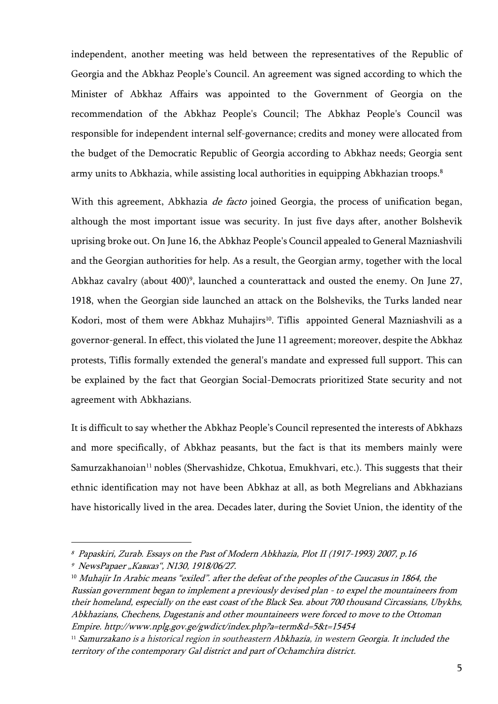independent, another meeting was held between the representatives of the Republic of Georgia and the Abkhaz People's Council. An agreement was signed according to which the Minister of Abkhaz Affairs was appointed to the Government of Georgia on the recommendation of the Abkhaz People's Council; The Abkhaz People's Council was responsible for independent internal self-governance; credits and money were allocated from the budget of the Democratic Republic of Georgia according to Abkhaz needs; Georgia sent army units to Abkhazia, while assisting local authorities in equipping Abkhazian troops.<sup>8</sup>

With this agreement, Abkhazia *de facto* joined Georgia, the process of unification began, although the most important issue was security. In just five days after, another Bolshevik uprising broke out. On June 16, the Abkhaz People's Council appealed to General Mazniashvili and the Georgian authorities for help. As a result, the Georgian army, together with the local Abkhaz cavalry (about 400)<sup>9</sup>, launched a counterattack and ousted the enemy. On June 27, 1918, when the Georgian side launched an attack on the Bolsheviks, the Turks landed near Kodori, most of them were Abkhaz Muhajirs 10 . Tiflis appointed General Mazniashvili as a governor-general. In effect, this violated the June 11 agreement; moreover, despite the Abkhaz protests, Tiflis formally extended the general's mandate and expressed full support. This can be explained by the fact that Georgian Social-Democrats prioritized State security and not agreement with Abkhazians.

It is difficult to say whether the Abkhaz People's Council represented the interests of Abkhazs and more specifically, of Abkhaz peasants, but the fact is that its members mainly were Samurzakhanoian<sup>11</sup> nobles (Shervashidze, Chkotua, Emukhvari, etc.). This suggests that their ethnic identification may not have been Abkhaz at all, as both Megrelians and Abkhazians have historically lived in the area. Decades later, during the Soviet Union, the identity of the

<sup>8</sup> Papaskiri, Zurab. Essays on the Past of Modern Abkhazia, Plot II (1917-1993) 2007, p.16

<sup>&</sup>lt;sup>9</sup> NewsPapaer "Кавказ", N130, 1918/06/27.

<sup>&</sup>lt;sup>10</sup> Muhajir In Arabic means "exiled". after the defeat of the peoples of the Caucasus in 1864, the Russian government began to implement a previously devised plan - to expel the mountaineers from their homeland, especially on the east coast of the Black Sea. about 700 thousand Circassians, Ubykhs, Abkhazians, Chechens, Dagestanis and other mountaineers were forced to move to the Ottoman Empire. http://www.nplg.gov.ge/gwdict/index.php?a=term&d=5&t=15454

<sup>&</sup>lt;sup>11</sup> Samurzakano is a historical region in southeastern Abkhazia, in western Georgia. It included the territory of the contemporary Gal district and part of Ochamchira district.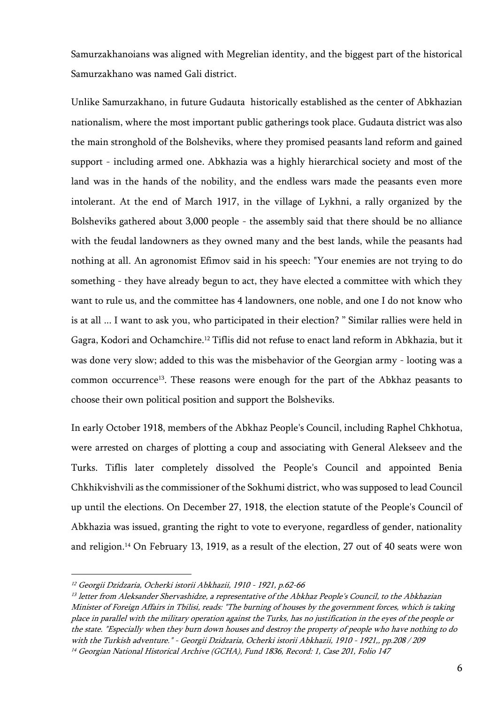Samurzakhanoians was aligned with Megrelian identity, and the biggest part of the historical Samurzakhano was named Gali district.

Unlike Samurzakhano, in future Gudauta historically established as the center of Abkhazian nationalism, where the most important public gatherings took place. Gudauta district was also the main stronghold of the Bolsheviks, where they promised peasants land reform and gained support - including armed one. Abkhazia was a highly hierarchical society and most of the land was in the hands of the nobility, and the endless wars made the peasants even more intolerant. At the end of March 1917, in the village of Lykhni, a rally organized by the Bolsheviks gathered about 3,000 people - the assembly said that there should be no alliance with the feudal landowners as they owned many and the best lands, while the peasants had nothing at all. An agronomist Efimov said in his speech: "Your enemies are not trying to do something - they have already begun to act, they have elected a committee with which they want to rule us, and the committee has 4 landowners, one noble, and one I do not know who is at all ... I want to ask you, who participated in their election? " Similar rallies were held in Gagra, Kodori and Ochamchire.<sup>12</sup> Tiflis did not refuse to enact land reform in Abkhazia, but it was done very slow; added to this was the misbehavior of the Georgian army - looting was a common occurrence13. These reasons were enough for the part of the Abkhaz peasants to choose their own political position and support the Bolsheviks.

In early October 1918, members of the Abkhaz People's Council, including Raphel Chkhotua, were arrested on charges of plotting a coup and associating with General Alekseev and the Turks. Tiflis later completely dissolved the People's Council and appointed Benia Chkhikvishvili as the commissioner of the Sokhumi district, who was supposed to lead Council up until the elections. On December 27, 1918, the election statute of the People's Council of Abkhazia was issued, granting the right to vote to everyone, regardless of gender, nationality and religion.<sup>14</sup> On February 13, 1919, as a result of the election, 27 out of 40 seats were won

<sup>12</sup> Georgii Dzidzaria, Ocherki istorii Abkhazii, 1910 - 1921, p.62-66

<sup>&</sup>lt;sup>13</sup> letter from Aleksander Shervashidze, a representative of the Abkhaz People's Council, to the Abkhazian Minister of Foreign Affairs in Tbilisi, reads: "The burning of houses by the government forces, which is taking place in parallel with the military operation against the Turks, has no justification in the eyes of the people or the state. "Especially when they burn down houses and destroy the property of people who have nothing to do with the Turkish adventure." - Georgii Dzidzaria, Ocherki istorii Abkhazii, 1910 - 1921,, pp.208 / 209

<sup>14</sup> Georgian National Historical Archive (GCHA), Fund 1836, Record: 1, Case 201, Folio 147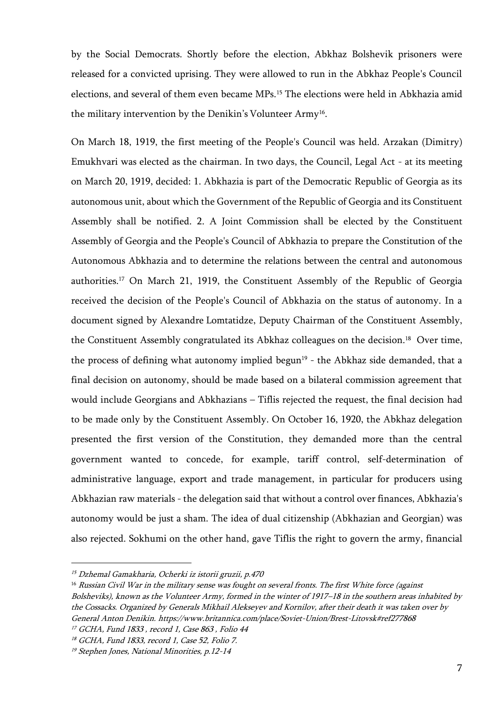by the Social Democrats. Shortly before the election, Abkhaz Bolshevik prisoners were released for a convicted uprising. They were allowed to run in the Abkhaz People's Council elections, and several of them even became MPs.<sup>15</sup> The elections were held in Abkhazia amid the military intervention by the Denikin's Volunteer Army<sup>16</sup>.

On March 18, 1919, the first meeting of the People's Council was held. Arzakan (Dimitry) Emukhvari was elected as the chairman. In two days, the Council, Legal Act - at its meeting on March 20, 1919, decided: 1. Abkhazia is part of the Democratic Republic of Georgia as its autonomous unit, about which the Government of the Republic of Georgia and its Constituent Assembly shall be notified. 2. A Joint Commission shall be elected by the Constituent Assembly of Georgia and the People's Council of Abkhazia to prepare the Constitution of the Autonomous Abkhazia and to determine the relations between the central and autonomous authorities.<sup>17</sup> On March 21, 1919, the Constituent Assembly of the Republic of Georgia received the decision of the People's Council of Abkhazia on the status of autonomy. In a document signed by Alexandre Lomtatidze, Deputy Chairman of the Constituent Assembly, the Constituent Assembly congratulated its Abkhaz colleagues on the decision.<sup>18</sup> Over time, the process of defining what autonomy implied begun 19 - the Abkhaz side demanded, that a final decision on autonomy, should be made based on a bilateral commission agreement that would include Georgians and Abkhazians – Tiflis rejected the request, the final decision had to be made only by the Constituent Assembly. On October 16, 1920, the Abkhaz delegation presented the first version of the Constitution, they demanded more than the central government wanted to concede, for example, tariff control, self-determination of administrative language, export and trade management, in particular for producers using Abkhazian raw materials - the delegation said that without a control over finances, Abkhazia's autonomy would be just a sham. The idea of dual citizenship (Abkhazian and Georgian) was also rejected. Sokhumi on the other hand, gave Tiflis the right to govern the army, financial

<sup>15</sup> Dzhemal Gamakharia, Ocherki iz istorii gruzii, p.470

<sup>&</sup>lt;sup>16</sup> Russian Civil War in the military sense was fought on several fronts. The first White force (against Bolsheviks), known as the Volunteer Army, formed in the winter of 1917–18 in the southern areas inhabited by the Cossacks. Organized by Generals Mikhail Alekseyev and Kornilov, after their death it was taken over by General Anton Denikin. https://www.britannica.com/place/Soviet-Union/Brest-Litovsk#ref277868 <sup>17</sup> GCHA, Fund 1833 , record 1, Case 863 , Folio 44

<sup>18</sup> GCHA, Fund 1833, record 1, Case 52, Folio 7.

<sup>19</sup> Stephen Jones, National Minorities, p.12-14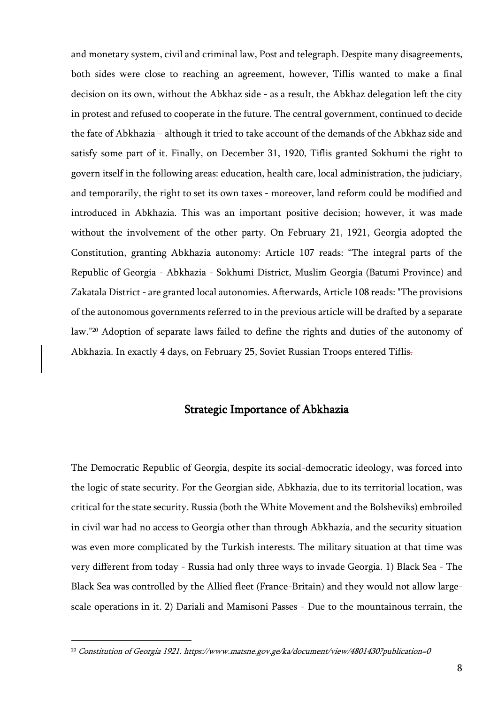and monetary system, civil and criminal law, Post and telegraph. Despite many disagreements, both sides were close to reaching an agreement, however, Tiflis wanted to make a final decision on its own, without the Abkhaz side - as a result, the Abkhaz delegation left the city in protest and refused to cooperate in the future. The central government, continued to decide the fate of Abkhazia – although it tried to take account of the demands of the Abkhaz side and satisfy some part of it. Finally, on December 31, 1920, Tiflis granted Sokhumi the right to govern itself in the following areas: education, health care, local administration, the judiciary, and temporarily, the right to set its own taxes - moreover, land reform could be modified and introduced in Abkhazia. This was an important positive decision; however, it was made without the involvement of the other party. On February 21, 1921, Georgia adopted the Constitution, granting Abkhazia autonomy: Article 107 reads: "The integral parts of the Republic of Georgia - Abkhazia - Sokhumi District, Muslim Georgia (Batumi Province) and Zakatala District - are granted local autonomies. Afterwards, Article 108 reads: "The provisions of the autonomous governments referred to in the previous article will be drafted by a separate law."<sup>20</sup> Adoption of separate laws failed to define the rights and duties of the autonomy of Abkhazia. In exactly 4 days, on February 25, Soviet Russian Troops entered Tiflis.

### Strategic Importance of Abkhazia

The Democratic Republic of Georgia, despite its social-democratic ideology, was forced into the logic of state security. For the Georgian side, Abkhazia, due to its territorial location, was critical for the state security. Russia (both the White Movement and the Bolsheviks) embroiled in civil war had no access to Georgia other than through Abkhazia, and the security situation was even more complicated by the Turkish interests. The military situation at that time was very different from today - Russia had only three ways to invade Georgia. 1) Black Sea - The Black Sea was controlled by the Allied fleet (France-Britain) and they would not allow largescale operations in it. 2) Dariali and Mamisoni Passes - Due to the mountainous terrain, the

<sup>&</sup>lt;sup>20</sup> Constitution of Georgia 1921. https://www.matsne.gov.ge/ka/document/view/4801430?publication=0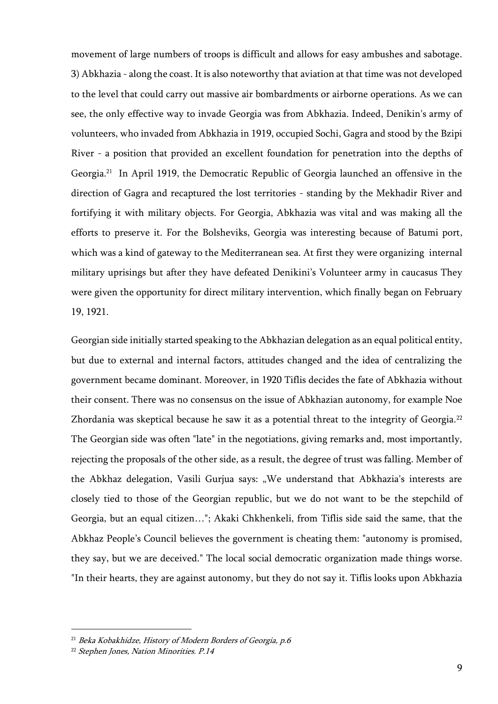movement of large numbers of troops is difficult and allows for easy ambushes and sabotage. 3) Abkhazia - along the coast. It is also noteworthy that aviation at that time was not developed to the level that could carry out massive air bombardments or airborne operations. As we can see, the only effective way to invade Georgia was from Abkhazia. Indeed, Denikin's army of volunteers, who invaded from Abkhazia in 1919, occupied Sochi, Gagra and stood by the Bzipi River - a position that provided an excellent foundation for penetration into the depths of Georgia.<sup>21</sup> In April 1919, the Democratic Republic of Georgia launched an offensive in the direction of Gagra and recaptured the lost territories - standing by the Mekhadir River and fortifying it with military objects. For Georgia, Abkhazia was vital and was making all the efforts to preserve it. For the Bolsheviks, Georgia was interesting because of Batumi port, which was a kind of gateway to the Mediterranean sea. At first they were organizing internal military uprisings but after they have defeated Denikini's Volunteer army in caucasus They were given the opportunity for direct military intervention, which finally began on February 19, 1921.

Georgian side initially started speaking to the Abkhazian delegation as an equal political entity, but due to external and internal factors, attitudes changed and the idea of centralizing the government became dominant. Moreover, in 1920 Tiflis decides the fate of Abkhazia without their consent. There was no consensus on the issue of Abkhazian autonomy, for example Noe Zhordania was skeptical because he saw it as a potential threat to the integrity of Georgia.<sup>22</sup> The Georgian side was often "late" in the negotiations, giving remarks and, most importantly, rejecting the proposals of the other side, as a result, the degree of trust was falling. Member of the Abkhaz delegation, Vasili Gurjua says: "We understand that Abkhazia's interests are closely tied to those of the Georgian republic, but we do not want to be the stepchild of Georgia, but an equal citizen…"; Akaki Chkhenkeli, from Tiflis side said the same, that the Abkhaz People's Council believes the government is cheating them: "autonomy is promised, they say, but we are deceived." The local social democratic organization made things worse. "In their hearts, they are against autonomy, but they do not say it. Tiflis looks upon Abkhazia

<sup>&</sup>lt;sup>21</sup> Beka Kobakhidze, History of Modern Borders of Georgia, p.6

<sup>22</sup> Stephen Jones, Nation Minorities. P.14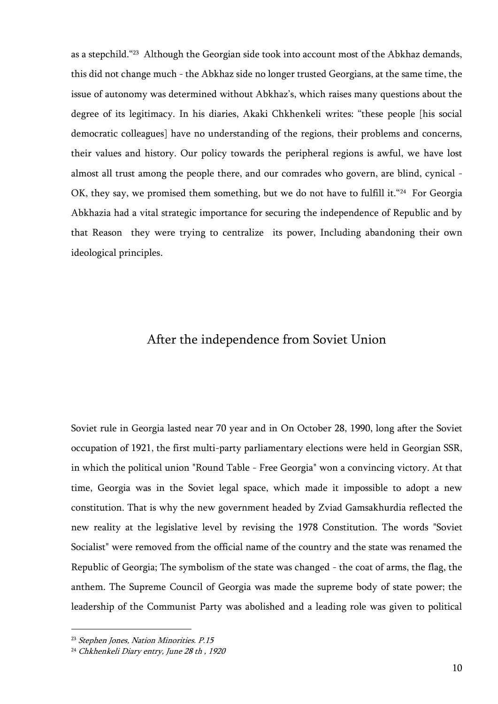as a stepchild."<sup>23</sup> Although the Georgian side took into account most of the Abkhaz demands, this did not change much - the Abkhaz side no longer trusted Georgians, at the same time, the issue of autonomy was determined without Abkhaz's, which raises many questions about the degree of its legitimacy. In his diaries, Akaki Chkhenkeli writes: "these people [his social democratic colleagues] have no understanding of the regions, their problems and concerns, their values and history. Our policy towards the peripheral regions is awful, we have lost almost all trust among the people there, and our comrades who govern, are blind, cynical - OK, they say, we promised them something, but we do not have to fulfill it."<sup>24</sup> For Georgia Abkhazia had a vital strategic importance for securing the independence of Republic and by that Reason they were trying to centralize its power, Including abandoning their own ideological principles.

# After the independence from Soviet Union

Soviet rule in Georgia lasted near 70 year and in On October 28, 1990, long after the Soviet occupation of 1921, the first multi-party parliamentary elections were held in Georgian SSR, in which the political union "Round Table - Free Georgia" won a convincing victory. At that time, Georgia was in the Soviet legal space, which made it impossible to adopt a new constitution. That is why the new government headed by Zviad Gamsakhurdia reflected the new reality at the legislative level by revising the 1978 Constitution. The words "Soviet Socialist" were removed from the official name of the country and the state was renamed the Republic of Georgia; The symbolism of the state was changed - the coat of arms, the flag, the anthem. The Supreme Council of Georgia was made the supreme body of state power; the leadership of the Communist Party was abolished and a leading role was given to political

<sup>&</sup>lt;sup>23</sup> Stephen Jones, Nation Minorities. P.15

<sup>&</sup>lt;sup>24</sup> Chkhenkeli Diary entry, June 28 th, 1920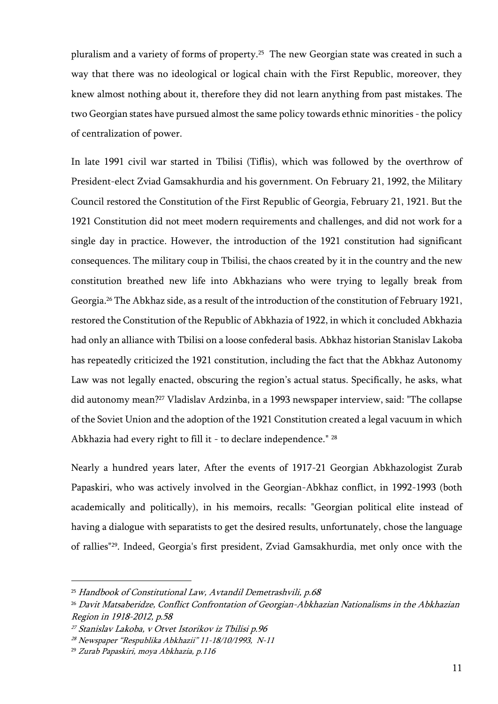pluralism and a variety of forms of property.<sup>25</sup> The new Georgian state was created in such a way that there was no ideological or logical chain with the First Republic, moreover, they knew almost nothing about it, therefore they did not learn anything from past mistakes. The two Georgian states have pursued almost the same policy towards ethnic minorities - the policy of centralization of power.

In late 1991 civil war started in Tbilisi (Tiflis), which was followed by the overthrow of President-elect Zviad Gamsakhurdia and his government. On February 21, 1992, the Military Council restored the Constitution of the First Republic of Georgia, February 21, 1921. But the 1921 Constitution did not meet modern requirements and challenges, and did not work for a single day in practice. However, the introduction of the 1921 constitution had significant consequences. The military coup in Tbilisi, the chaos created by it in the country and the new constitution breathed new life into Abkhazians who were trying to legally break from Georgia. <sup>26</sup> The Abkhaz side, as a result of the introduction of the constitution of February 1921, restored the Constitution of the Republic of Abkhazia of 1922, in which it concluded Abkhazia had only an alliance with Tbilisi on a loose confederal basis. Abkhaz historian Stanislav Lakoba has repeatedly criticized the 1921 constitution, including the fact that the Abkhaz Autonomy Law was not legally enacted, obscuring the region's actual status. Specifically, he asks, what did autonomy mean?<sup>27</sup> Vladislav Ardzinba, in a 1993 newspaper interview, said: "The collapse of the Soviet Union and the adoption of the 1921 Constitution created a legal vacuum in which Abkhazia had every right to fill it - to declare independence." <sup>28</sup>

Nearly a hundred years later, After the events of 1917-21 Georgian Abkhazologist Zurab Papaskiri, who was actively involved in the Georgian-Abkhaz conflict, in 1992-1993 (both academically and politically), in his memoirs, recalls: "Georgian political elite instead of having a dialogue with separatists to get the desired results, unfortunately, chose the language of rallies"29. Indeed, Georgia's first president, Zviad Gamsakhurdia, met only once with the

<sup>&</sup>lt;sup>25</sup> Handbook of Constitutional Law, Avtandil Demetrashvili, p.68

<sup>26</sup> Davit Matsaberidze, Conflict Confrontation of Georgian-Abkhazian Nationalisms in the Abkhazian Region in 1918-2012, p.58

<sup>27</sup> Stanislav Lakoba, v Otvet Istorikov iz Tbilisi p.96

<sup>28</sup> Newspaper "Respublika Abkhazii" 11-18/10/1993, N-11

<sup>29</sup> Zurab Papaskiri, moya Abkhazia, p.116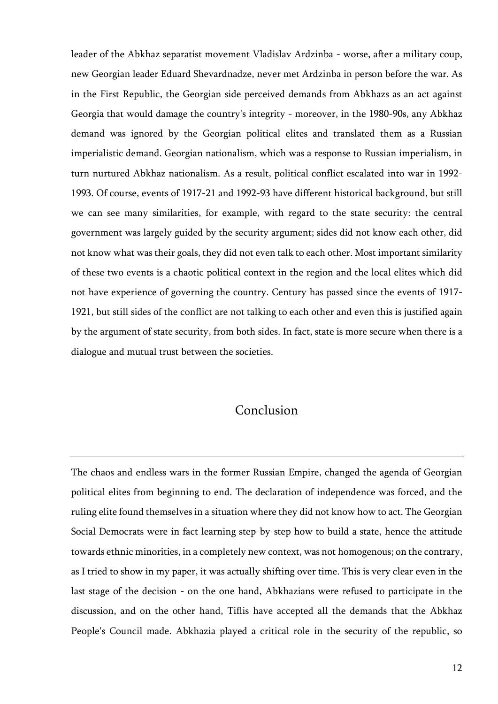leader of the Abkhaz separatist movement Vladislav Ardzinba - worse, after a military coup, new Georgian leader Eduard Shevardnadze, never met Ardzinba in person before the war. As in the First Republic, the Georgian side perceived demands from Abkhazs as an act against Georgia that would damage the country's integrity - moreover, in the 1980-90s, any Abkhaz demand was ignored by the Georgian political elites and translated them as a Russian imperialistic demand. Georgian nationalism, which was a response to Russian imperialism, in turn nurtured Abkhaz nationalism. As a result, political conflict escalated into war in 1992- 1993. Of course, events of 1917-21 and 1992-93 have different historical background, but still we can see many similarities, for example, with regard to the state security: the central government was largely guided by the security argument; sides did not know each other, did not know what was their goals, they did not even talk to each other. Most important similarity of these two events is a chaotic political context in the region and the local elites which did not have experience of governing the country. Century has passed since the events of 1917- 1921, but still sides of the conflict are not talking to each other and even this is justified again by the argument of state security, from both sides. In fact, state is more secure when there is a dialogue and mutual trust between the societies.

# Conclusion

The chaos and endless wars in the former Russian Empire, changed the agenda of Georgian political elites from beginning to end. The declaration of independence was forced, and the ruling elite found themselves in a situation where they did not know how to act. The Georgian Social Democrats were in fact learning step-by-step how to build a state, hence the attitude towards ethnic minorities, in a completely new context, was not homogenous; on the contrary, as I tried to show in my paper, it was actually shifting over time. This is very clear even in the last stage of the decision - on the one hand, Abkhazians were refused to participate in the discussion, and on the other hand, Tiflis have accepted all the demands that the Abkhaz People's Council made. Abkhazia played a critical role in the security of the republic, so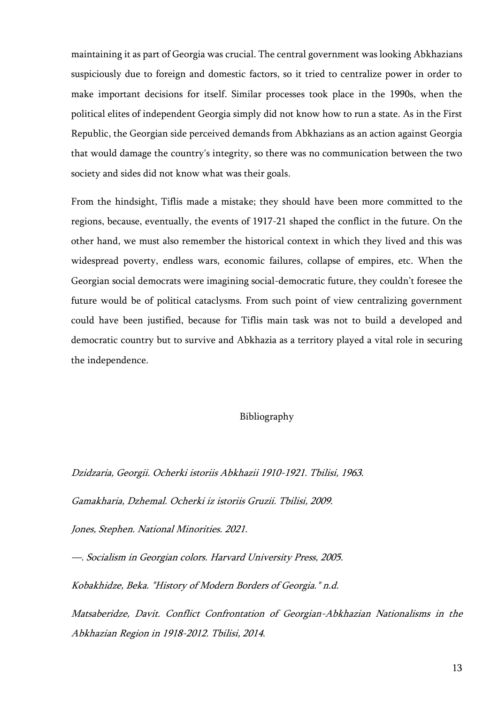maintaining it as part of Georgia was crucial. The central government was looking Abkhazians suspiciously due to foreign and domestic factors, so it tried to centralize power in order to make important decisions for itself. Similar processes took place in the 1990s, when the political elites of independent Georgia simply did not know how to run a state. As in the First Republic, the Georgian side perceived demands from Abkhazians as an action against Georgia that would damage the country's integrity, so there was no communication between the two society and sides did not know what was their goals.

From the hindsight, Tiflis made a mistake; they should have been more committed to the regions, because, eventually, the events of 1917-21 shaped the conflict in the future. On the other hand, we must also remember the historical context in which they lived and this was widespread poverty, endless wars, economic failures, collapse of empires, etc. When the Georgian social democrats were imagining social-democratic future, they couldn't foresee the future would be of political cataclysms. From such point of view centralizing government could have been justified, because for Tiflis main task was not to build a developed and democratic country but to survive and Abkhazia as a territory played a vital role in securing the independence.

#### Bibliography

Dzidzaria, Georgii. Ocherki istoriis Abkhazii 1910-1921. Tbilisi, 1963.

Gamakharia, Dzhemal. Ocherki iz istoriis Gruzii. Tbilisi, 2009.

Jones, Stephen. National Minorities. 2021.

—. Socialism in Georgian colors. Harvard University Press, 2005.

Kobakhidze, Beka. "History of Modern Borders of Georgia." n.d.

Matsaberidze, Davit. Conflict Confrontation of Georgian-Abkhazian Nationalisms in the Abkhazian Region in 1918-2012. Tbilisi, 2014.